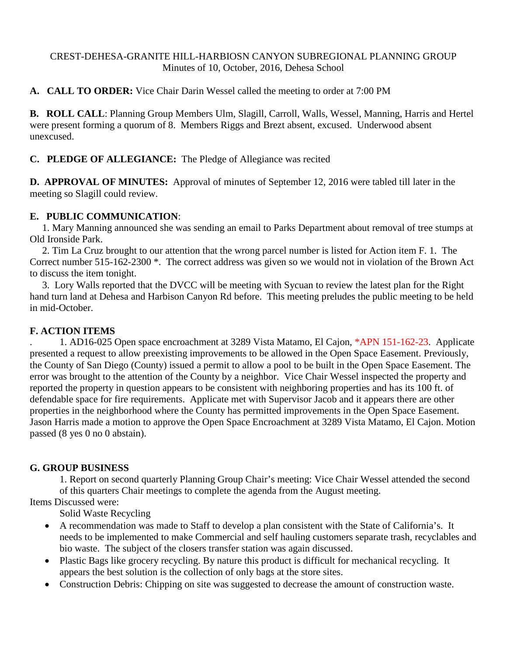### CREST-DEHESA-GRANITE HILL-HARBIOSN CANYON SUBREGIONAL PLANNING GROUP Minutes of 10, October, 2016, Dehesa School

## **A. CALL TO ORDER:** Vice Chair Darin Wessel called the meeting to order at 7:00 PM

**B. ROLL CALL**: Planning Group Members Ulm, Slagill, Carroll, Walls, Wessel, Manning, Harris and Hertel were present forming a quorum of 8. Members Riggs and Brezt absent, excused. Underwood absent unexcused.

# **C. PLEDGE OF ALLEGIANCE:** The Pledge of Allegiance was recited

**D. APPROVAL OF MINUTES:** Approval of minutes of September 12, 2016 were tabled till later in the meeting so Slagill could review.

### **E. PUBLIC COMMUNICATION**:

 1. Mary Manning announced she was sending an email to Parks Department about removal of tree stumps at Old Ironside Park.

 2. Tim La Cruz brought to our attention that the wrong parcel number is listed for Action item F. 1. The Correct number 515-162-2300 \*. The correct address was given so we would not in violation of the Brown Act to discuss the item tonight.

 3. Lory Walls reported that the DVCC will be meeting with Sycuan to review the latest plan for the Right hand turn land at Dehesa and Harbison Canyon Rd before. This meeting preludes the public meeting to be held in mid-October.

### **F. ACTION ITEMS**

. 1. AD16-025 Open space encroachment at 3289 Vista Matamo, El Cajon, \*APN 151-162-23. Applicate presented a request to allow preexisting improvements to be allowed in the Open Space Easement. Previously, the County of San Diego (County) issued a permit to allow a pool to be built in the Open Space Easement. The error was brought to the attention of the County by a neighbor. Vice Chair Wessel inspected the property and reported the property in question appears to be consistent with neighboring properties and has its 100 ft. of defendable space for fire requirements. Applicate met with Supervisor Jacob and it appears there are other properties in the neighborhood where the County has permitted improvements in the Open Space Easement. Jason Harris made a motion to approve the Open Space Encroachment at 3289 Vista Matamo, El Cajon. Motion passed (8 yes 0 no 0 abstain).

### **G. GROUP BUSINESS**

1. Report on second quarterly Planning Group Chair's meeting: Vice Chair Wessel attended the second of this quarters Chair meetings to complete the agenda from the August meeting.

Items Discussed were:

Solid Waste Recycling

- A recommendation was made to Staff to develop a plan consistent with the State of California's. It needs to be implemented to make Commercial and self hauling customers separate trash, recyclables and bio waste. The subject of the closers transfer station was again discussed.
- Plastic Bags like grocery recycling. By nature this product is difficult for mechanical recycling. It appears the best solution is the collection of only bags at the store sites.
- Construction Debris: Chipping on site was suggested to decrease the amount of construction waste.